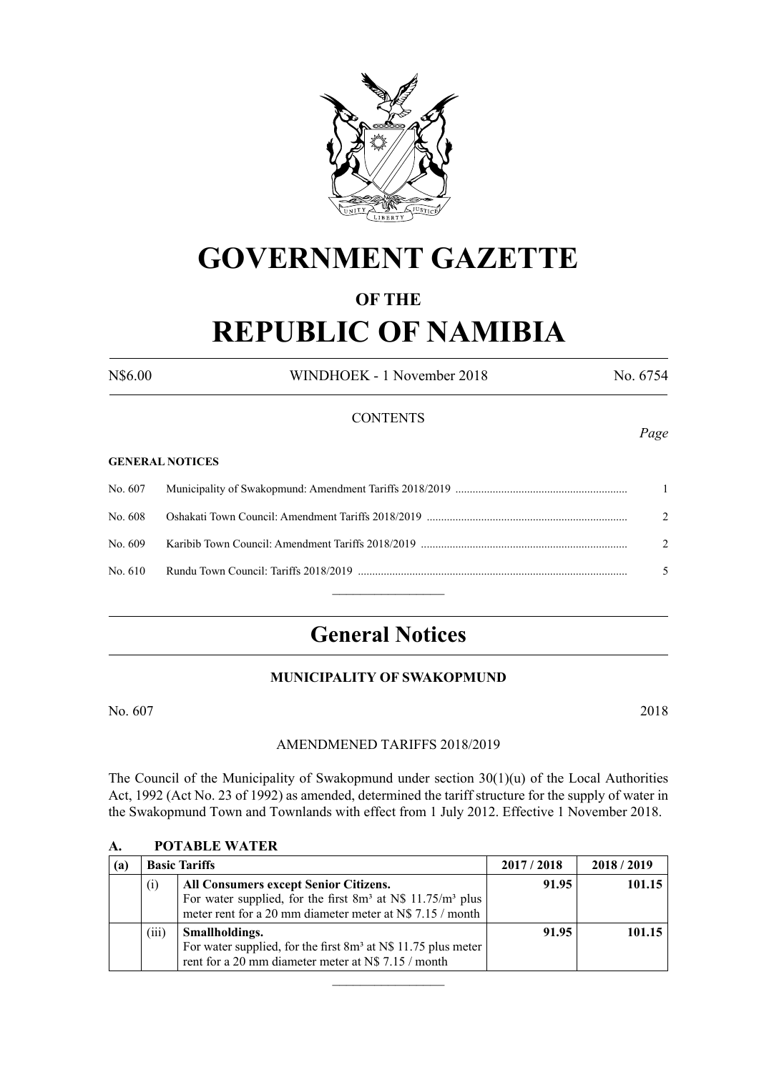

## **GOVERNMENT GAZETTE**

### **OF THE**

# **REPUBLIC OF NAMIBIA**

N\$6.00 WINDHOEK - 1 November 2018 No. 6754

#### **CONTENTS**

#### **GENERAL NOTICES**

| No. 608 | $2^{1}$       |
|---------|---------------|
| No. 609 | $\mathcal{L}$ |
| No. 610 |               |
|         |               |

### **General Notices**

#### **MUNICIPALITY OF SWAKOPMUND**

No. 607 2018

#### AMENDMENED TARIFFS 2018/2019

The Council of the Municipality of Swakopmund under section  $30(1)(u)$  of the Local Authorities Act, 1992 (Act No. 23 of 1992) as amended, determined the tariff structure for the supply of water in the Swakopmund Town and Townlands with effect from 1 July 2012. Effective 1 November 2018.

| .   |       |                                                                                                                                                                                 |       |           |
|-----|-------|---------------------------------------------------------------------------------------------------------------------------------------------------------------------------------|-------|-----------|
| (a) |       | <b>Basic Tariffs</b>                                                                                                                                                            |       | 2018/2019 |
|     | (i)   | All Consumers except Senior Citizens.<br>For water supplied, for the first $8m^3$ at N\$ 11.75/m <sup>3</sup> plus<br>meter rent for a 20 mm diameter meter at N\$ 7.15 / month | 91.95 | 101.15    |
|     | (iii) | Smallholdings.<br>For water supplied, for the first 8m <sup>3</sup> at N\$ 11.75 plus meter<br>rent for a 20 mm diameter meter at N\$ 7.15 / month                              | 91.95 | 101.15    |

 $\overline{\phantom{a}}$  , where  $\overline{\phantom{a}}$ 

#### **A. POTABLE WATER**

*Page*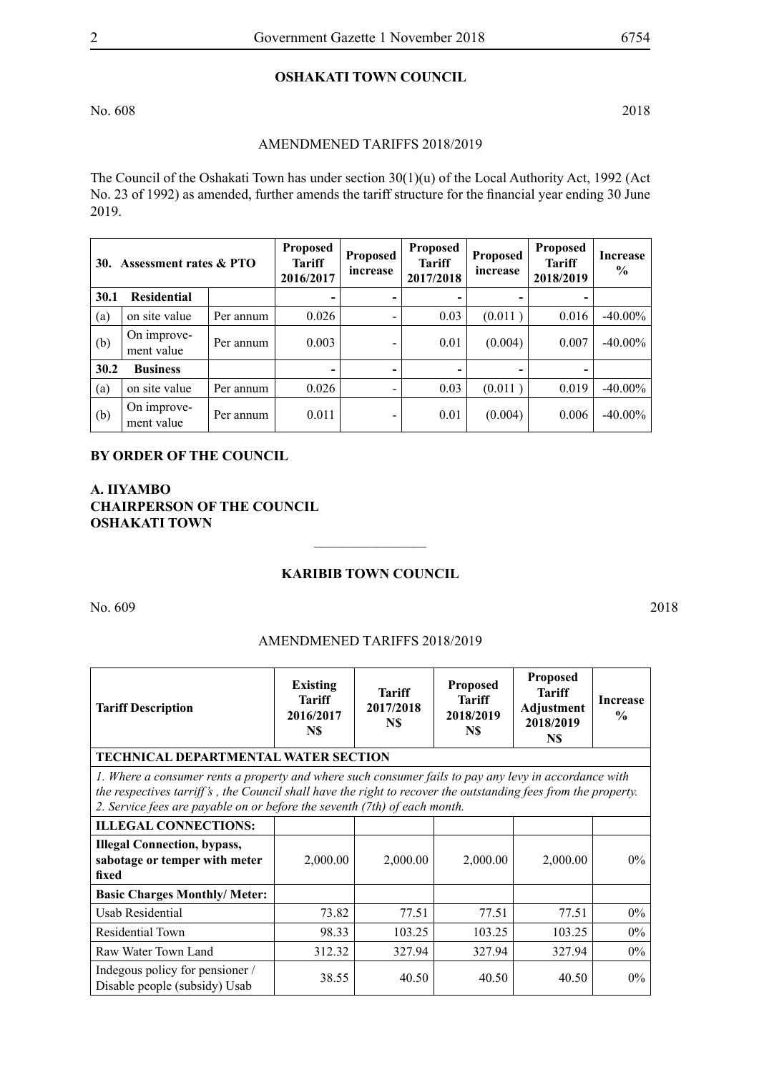### **Oshakati Town Council**

No. 608 2018

#### AMENDMENED TARIFFS 2018/2019

The Council of the Oshakati Town has under section 30(1)(u) of the Local Authority Act, 1992 (Act No. 23 of 1992) as amended, further amends the tariff structure for the financial year ending 30 June 2019.

|      | 30. Assessment rates & PTO |           | <b>Proposed</b><br><b>Tariff</b><br>2016/2017 | <b>Proposed</b><br>increase | <b>Proposed</b><br><b>Tariff</b><br>2017/2018 | <b>Proposed</b><br>increase | <b>Proposed</b><br><b>Tariff</b><br>2018/2019 | Increase<br>$\frac{6}{6}$ |
|------|----------------------------|-----------|-----------------------------------------------|-----------------------------|-----------------------------------------------|-----------------------------|-----------------------------------------------|---------------------------|
| 30.1 | <b>Residential</b>         |           | $\overline{\phantom{a}}$                      | ۰                           |                                               |                             |                                               |                           |
| (a)  | on site value              | Per annum | 0.026                                         | $\overline{\phantom{a}}$    | 0.03                                          | (0.011)                     | 0.016                                         | $-40.00\%$                |
| (b)  | On improve-<br>ment value  | Per annum | 0.003                                         | $\overline{\phantom{a}}$    | 0.01                                          | (0.004)                     | 0.007                                         | $-40.00\%$                |
| 30.2 | <b>Business</b>            |           | $\overline{\phantom{a}}$                      | $\overline{\phantom{a}}$    | $\overline{\phantom{0}}$                      |                             | $\overline{\phantom{0}}$                      |                           |
| (a)  | on site value              | Per annum | 0.026                                         |                             | 0.03                                          | (0.011)                     | 0.019                                         | $-40.00\%$                |
| (b)  | On improve-<br>ment value  | Per annum | 0.011                                         | $\,$                        | 0.01                                          | (0.004)                     | 0.006                                         | $-40.00\%$                |

#### **BY ORDER OF THE COUNCIL**

#### **A. IIYAMBO CHAIRPERSON OF THE COUNCIL OSHAKATI TOWN**

#### **Karibib Town Council**

 $\frac{1}{2}$ 

No. 609 2018

#### AMENDMENED TARIFFS 2018/2019

| <b>Tariff Description</b>                                                                                                                                                                                                                                                                            | <b>Existing</b><br><b>Tariff</b><br>2016/2017<br>N\$ | Tariff<br>2017/2018<br>N\$ | <b>Proposed</b><br>Tariff<br>2018/2019<br>N\$ | <b>Proposed</b><br><b>Tariff</b><br>Adjustment<br>2018/2019<br>N\$ | <b>Increase</b><br>$\frac{0}{0}$ |  |  |
|------------------------------------------------------------------------------------------------------------------------------------------------------------------------------------------------------------------------------------------------------------------------------------------------------|------------------------------------------------------|----------------------------|-----------------------------------------------|--------------------------------------------------------------------|----------------------------------|--|--|
| <b>TECHNICAL DEPARTMENTAL WATER SECTION</b>                                                                                                                                                                                                                                                          |                                                      |                            |                                               |                                                                    |                                  |  |  |
| 1. Where a consumer rents a property and where such consumer fails to pay any levy in accordance with<br>the respectives tarriff's, the Council shall have the right to recover the outstanding fees from the property.<br>2. Service fees are payable on or before the seventh (7th) of each month. |                                                      |                            |                                               |                                                                    |                                  |  |  |
| <b>ILLEGAL CONNECTIONS:</b>                                                                                                                                                                                                                                                                          |                                                      |                            |                                               |                                                                    |                                  |  |  |
| <b>Illegal Connection</b> , bypass,<br>sabotage or temper with meter<br>fixed                                                                                                                                                                                                                        | 2,000.00                                             | 2,000.00                   | 2,000.00                                      | 2,000.00                                                           | $0\%$                            |  |  |
| <b>Basic Charges Monthly/Meter:</b>                                                                                                                                                                                                                                                                  |                                                      |                            |                                               |                                                                    |                                  |  |  |
| Usab Residential                                                                                                                                                                                                                                                                                     | 73.82                                                | 77.51                      | 77.51                                         | 77.51                                                              | $0\%$                            |  |  |
| <b>Residential Town</b>                                                                                                                                                                                                                                                                              | 98.33                                                | 103.25                     | 103.25                                        | 103.25                                                             | $0\%$                            |  |  |
| Raw Water Town Land                                                                                                                                                                                                                                                                                  | 312.32                                               | 327.94                     | 327.94                                        | 327.94                                                             | $0\%$                            |  |  |
| Indegous policy for pensioner /<br>Disable people (subsidy) Usab                                                                                                                                                                                                                                     | 38.55                                                | 40.50                      | 40.50                                         | 40.50                                                              | $0\%$                            |  |  |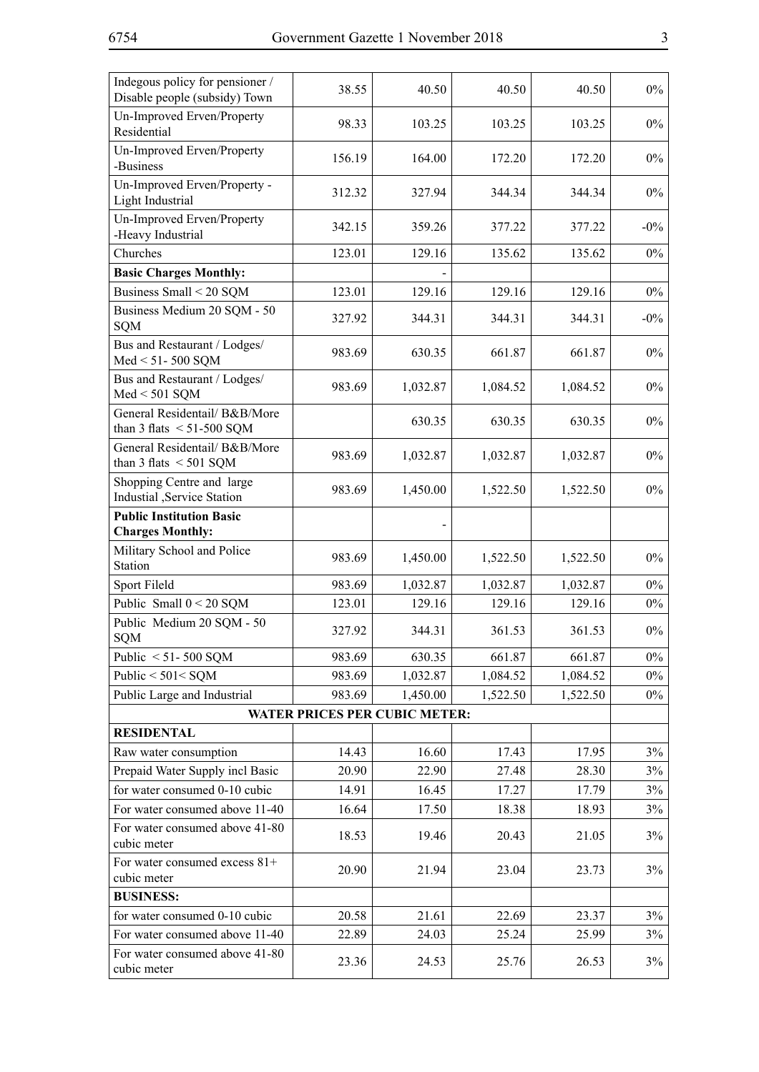| Indegous policy for pensioner /<br>Disable people (subsidy) Town    | 38.55                                | 40.50    | 40.50    | 40.50    | $0\%$  |
|---------------------------------------------------------------------|--------------------------------------|----------|----------|----------|--------|
| Un-Improved Erven/Property<br>Residential                           | 98.33                                | 103.25   | 103.25   | 103.25   | $0\%$  |
| Un-Improved Erven/Property<br>-Business                             | 156.19                               | 164.00   | 172.20   | 172.20   | $0\%$  |
| Un-Improved Erven/Property -<br>Light Industrial                    | 312.32                               | 327.94   | 344.34   | 344.34   | $0\%$  |
| Un-Improved Erven/Property<br>-Heavy Industrial                     | 342.15                               | 359.26   | 377.22   | 377.22   | $-0\%$ |
| Churches                                                            | 123.01                               | 129.16   | 135.62   | 135.62   | $0\%$  |
| <b>Basic Charges Monthly:</b>                                       |                                      |          |          |          |        |
| Business Small < 20 SQM                                             | 123.01                               | 129.16   | 129.16   | 129.16   | $0\%$  |
| Business Medium 20 SQM - 50<br><b>SQM</b>                           | 327.92                               | 344.31   | 344.31   | 344.31   | $-0\%$ |
| Bus and Restaurant / Lodges/<br>$Med < 51 - 500$ SQM                | 983.69                               | 630.35   | 661.87   | 661.87   | $0\%$  |
| Bus and Restaurant / Lodges/<br>$Med < 501$ SQM                     | 983.69                               | 1,032.87 | 1,084.52 | 1,084.52 | $0\%$  |
| General Residentail/ B&B/More<br>than $3$ flats $\leq 51 - 500$ SQM |                                      | 630.35   | 630.35   | 630.35   | $0\%$  |
| General Residentail/ B&B/More<br>than 3 flats $\leq 501$ SQM        | 983.69                               | 1,032.87 | 1,032.87 | 1,032.87 | $0\%$  |
| Shopping Centre and large<br>Industial , Service Station            | 983.69                               | 1,450.00 | 1,522.50 | 1,522.50 | $0\%$  |
| <b>Public Institution Basic</b>                                     |                                      |          |          |          |        |
| <b>Charges Monthly:</b>                                             |                                      |          |          |          |        |
| Military School and Police<br><b>Station</b>                        | 983.69                               | 1,450.00 | 1,522.50 | 1,522.50 | $0\%$  |
| Sport Fileld                                                        | 983.69                               | 1,032.87 | 1,032.87 | 1,032.87 | $0\%$  |
| Public Small 0 < 20 SQM                                             | 123.01                               | 129.16   | 129.16   | 129.16   | $0\%$  |
| Public Medium 20 SQM - 50<br><b>SQM</b>                             | 327.92                               | 344.31   | 361.53   | 361.53   | $0\%$  |
| Public $< 51 - 500$ SQM                                             | 983.69                               | 630.35   | 661.87   | 661.87   | $0\%$  |
| Public $< 501 <$ SQM                                                | 983.69                               | 1,032.87 | 1,084.52 | 1,084.52 | $0\%$  |
| Public Large and Industrial                                         | 983.69                               | 1,450.00 | 1,522.50 | 1,522.50 | $0\%$  |
|                                                                     | <b>WATER PRICES PER CUBIC METER:</b> |          |          |          |        |
| <b>RESIDENTAL</b>                                                   |                                      |          |          |          |        |
| Raw water consumption                                               | 14.43                                | 16.60    | 17.43    | 17.95    | $3\%$  |
| Prepaid Water Supply incl Basic                                     | 20.90                                | 22.90    | 27.48    | 28.30    | $3\%$  |
| for water consumed 0-10 cubic                                       | 14.91                                | 16.45    | 17.27    | 17.79    | $3\%$  |
| For water consumed above 11-40                                      | 16.64                                | 17.50    | 18.38    | 18.93    | 3%     |
| For water consumed above 41-80<br>cubic meter                       | 18.53                                | 19.46    | 20.43    | 21.05    | 3%     |
| For water consumed excess 81+<br>cubic meter                        | 20.90                                | 21.94    | 23.04    | 23.73    | 3%     |
| <b>BUSINESS:</b>                                                    |                                      |          |          |          |        |
| for water consumed 0-10 cubic                                       | 20.58                                | 21.61    | 22.69    | 23.37    | 3%     |
| For water consumed above 11-40                                      | 22.89                                | 24.03    | 25.24    | 25.99    | 3%     |
| For water consumed above 41-80<br>cubic meter                       | 23.36                                | 24.53    | 25.76    | 26.53    | $3\%$  |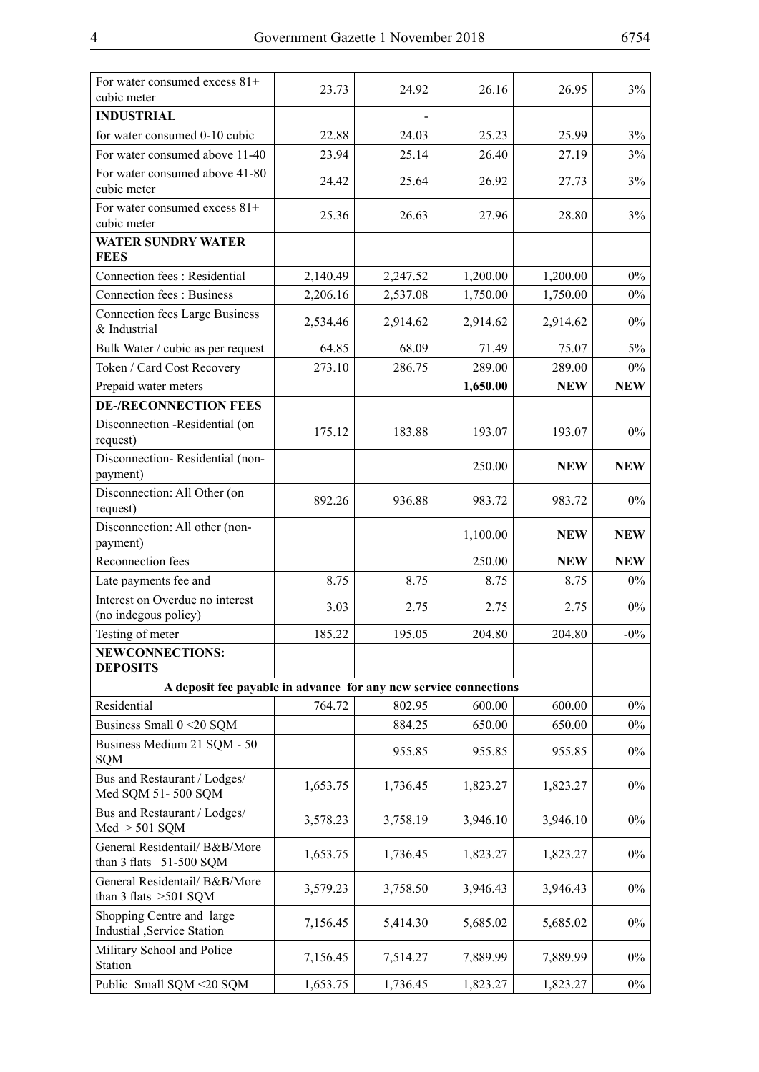|--|--|

| For water consumed excess 81+<br>cubic meter                     | 23.73    | 24.92    | 26.16    | 26.95      | $3\%$      |
|------------------------------------------------------------------|----------|----------|----------|------------|------------|
| <b>INDUSTRIAL</b>                                                |          |          |          |            |            |
| for water consumed 0-10 cubic                                    | 22.88    | 24.03    | 25.23    | 25.99      | $3\%$      |
| For water consumed above 11-40                                   | 23.94    | 25.14    | 26.40    | 27.19      | 3%         |
| For water consumed above 41-80<br>cubic meter                    | 24.42    | 25.64    | 26.92    | 27.73      | $3\%$      |
| For water consumed excess 81+<br>cubic meter                     | 25.36    | 26.63    | 27.96    | 28.80      | 3%         |
| <b>WATER SUNDRY WATER</b><br><b>FEES</b>                         |          |          |          |            |            |
| Connection fees : Residential                                    | 2,140.49 | 2,247.52 | 1,200.00 | 1,200.00   | $0\%$      |
| Connection fees: Business                                        | 2,206.16 | 2,537.08 | 1,750.00 | 1,750.00   | $0\%$      |
| <b>Connection fees Large Business</b><br>& Industrial            | 2,534.46 | 2,914.62 | 2,914.62 | 2,914.62   | $0\%$      |
| Bulk Water / cubic as per request                                | 64.85    | 68.09    | 71.49    | 75.07      | $5\%$      |
| Token / Card Cost Recovery                                       | 273.10   | 286.75   | 289.00   | 289.00     | $0\%$      |
| Prepaid water meters                                             |          |          | 1,650.00 | <b>NEW</b> | <b>NEW</b> |
| <b>DE-/RECONNECTION FEES</b>                                     |          |          |          |            |            |
| Disconnection -Residential (on<br>request)                       | 175.12   | 183.88   | 193.07   | 193.07     | $0\%$      |
| Disconnection-Residential (non-<br>payment)                      |          |          | 250.00   | <b>NEW</b> | <b>NEW</b> |
| Disconnection: All Other (on<br>request)                         | 892.26   | 936.88   | 983.72   | 983.72     | $0\%$      |
| Disconnection: All other (non-<br>payment)                       |          |          | 1,100.00 | <b>NEW</b> | <b>NEW</b> |
| Reconnection fees                                                |          |          | 250.00   | <b>NEW</b> | <b>NEW</b> |
| Late payments fee and                                            | 8.75     | 8.75     | 8.75     | 8.75       | $0\%$      |
| Interest on Overdue no interest<br>(no indegous policy)          | 3.03     | 2.75     | 2.75     | 2.75       | $0\%$      |
| Testing of meter                                                 | 185.22   | 195.05   | 204.80   | 204.80     | $-0\%$     |
| NEWCONNECTIONS:<br><b>DEPOSITS</b>                               |          |          |          |            |            |
| A deposit fee payable in advance for any new service connections |          |          |          |            |            |
| Residential                                                      | 764.72   | 802.95   | 600.00   | 600.00     | $0\%$      |
| Business Small 0 < 20 SQM                                        |          | 884.25   | 650.00   | 650.00     | $0\%$      |
| Business Medium 21 SQM - 50<br><b>SQM</b>                        |          | 955.85   | 955.85   | 955.85     | $0\%$      |
| Bus and Restaurant / Lodges/<br>Med SQM 51-500 SQM               | 1,653.75 | 1,736.45 | 1,823.27 | 1,823.27   | $0\%$      |
| Bus and Restaurant / Lodges/<br>$Med > 501$ SQM                  | 3,578.23 | 3,758.19 | 3,946.10 | 3,946.10   | $0\%$      |
| General Residentail/ B&B/More<br>than 3 flats 51-500 SQM         | 1,653.75 | 1,736.45 | 1,823.27 | 1,823.27   | $0\%$      |
| General Residentail/ B&B/More<br>than 3 flats $>501$ SQM         | 3,579.23 | 3,758.50 | 3,946.43 | 3,946.43   | $0\%$      |
| Shopping Centre and large<br>Industial , Service Station         | 7,156.45 | 5,414.30 | 5,685.02 | 5,685.02   | $0\%$      |
|                                                                  |          |          |          |            |            |
| Military School and Police<br>Station                            | 7,156.45 | 7,514.27 | 7,889.99 | 7,889.99   | $0\%$      |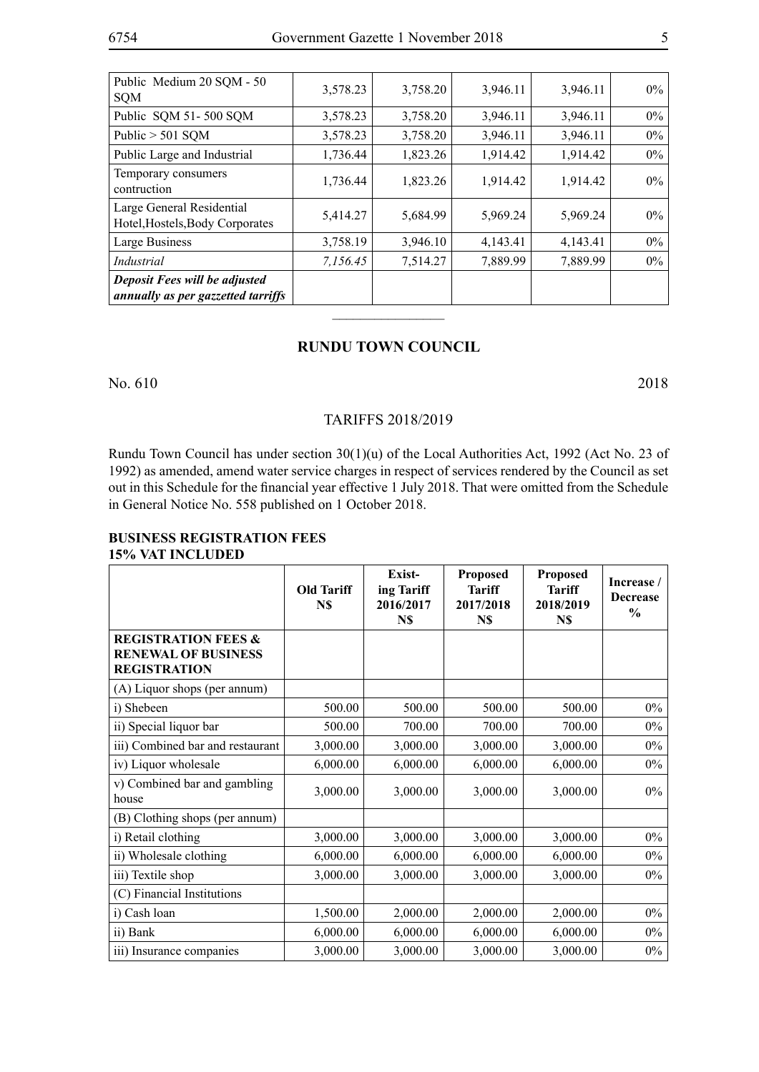| Public Medium 20 SQM - 50<br><b>SQM</b>                                    | 3,578.23 | 3,758.20 | 3,946.11 | 3,946.11 | $0\%$ |
|----------------------------------------------------------------------------|----------|----------|----------|----------|-------|
| Public SQM 51-500 SQM                                                      | 3,578.23 | 3,758.20 | 3,946.11 | 3,946.11 | $0\%$ |
| Public $> 501$ SQM                                                         | 3,578.23 | 3,758.20 | 3,946.11 | 3,946.11 | $0\%$ |
| Public Large and Industrial                                                | 1,736.44 | 1,823.26 | 1,914.42 | 1,914.42 | $0\%$ |
| Temporary consumers<br>contruction                                         | 1,736.44 | 1,823.26 | 1,914.42 | 1,914.42 | $0\%$ |
| Large General Residential<br>Hotel, Hostels, Body Corporates               | 5,414.27 | 5,684.99 | 5,969.24 | 5,969.24 | $0\%$ |
| Large Business                                                             | 3,758.19 | 3,946.10 | 4,143.41 | 4,143.41 | $0\%$ |
| Industrial                                                                 | 7,156.45 | 7,514.27 | 7,889.99 | 7,889.99 | $0\%$ |
| <b>Deposit Fees will be adjusted</b><br>annually as per gazzetted tarriffs |          |          |          |          |       |

#### **RUNDU TOWN COUNCIL**

No. 610 2018

#### TARIFFS 2018/2019

Rundu Town Council has under section 30(1)(u) of the Local Authorities Act, 1992 (Act No. 23 of 1992) as amended, amend water service charges in respect of services rendered by the Council as set out in this Schedule for the financial year effective 1 July 2018. That were omitted from the Schedule in General Notice No. 558 published on 1 October 2018.

#### **BUSINESS REGISTRATION FEES 15% VAT INCLUDED**

|                                                                                     | <b>Old Tariff</b><br>N\$ | Exist-<br>ing Tariff<br>2016/2017<br>N\$ | <b>Proposed</b><br><b>Tariff</b><br>2017/2018<br>N\$ | <b>Proposed</b><br><b>Tariff</b><br>2018/2019<br>N\$ | Increase/<br><b>Decrease</b><br>$\frac{0}{0}$ |
|-------------------------------------------------------------------------------------|--------------------------|------------------------------------------|------------------------------------------------------|------------------------------------------------------|-----------------------------------------------|
| <b>REGISTRATION FEES &amp;</b><br><b>RENEWAL OF BUSINESS</b><br><b>REGISTRATION</b> |                          |                                          |                                                      |                                                      |                                               |
| (A) Liquor shops (per annum)                                                        |                          |                                          |                                                      |                                                      |                                               |
| i) Shebeen                                                                          | 500.00                   | 500.00                                   | 500.00                                               | 500.00                                               | $0\%$                                         |
| ii) Special liquor bar                                                              | 500.00                   | 700.00                                   | 700.00                                               | 700.00                                               | $0\%$                                         |
| iii) Combined bar and restaurant                                                    | 3,000.00                 | 3,000.00                                 | 3,000.00                                             | 3,000.00                                             | $0\%$                                         |
| iv) Liquor wholesale                                                                | 6,000.00                 | 6,000.00                                 | 6,000.00                                             | 6,000.00                                             | $0\%$                                         |
| v) Combined bar and gambling<br>house                                               | 3,000.00                 | 3,000.00                                 | 3,000.00                                             | 3,000.00                                             | $0\%$                                         |
| (B) Clothing shops (per annum)                                                      |                          |                                          |                                                      |                                                      |                                               |
| i) Retail clothing                                                                  | 3,000.00                 | 3,000.00                                 | 3,000.00                                             | 3,000.00                                             | $0\%$                                         |
| ii) Wholesale clothing                                                              | 6,000.00                 | 6,000.00                                 | 6,000.00                                             | 6,000.00                                             | $0\%$                                         |
| iii) Textile shop                                                                   | 3,000.00                 | 3,000.00                                 | 3,000.00                                             | 3,000.00                                             | $0\%$                                         |
| (C) Financial Institutions                                                          |                          |                                          |                                                      |                                                      |                                               |
| i) Cash loan                                                                        | 1,500.00                 | 2,000.00                                 | 2,000.00                                             | 2,000.00                                             | $0\%$                                         |
| ii) Bank                                                                            | 6,000.00                 | 6,000.00                                 | 6,000.00                                             | 6,000.00                                             | $0\%$                                         |
| iii) Insurance companies                                                            | 3,000.00                 | 3,000.00                                 | 3,000.00                                             | 3,000.00                                             | $0\%$                                         |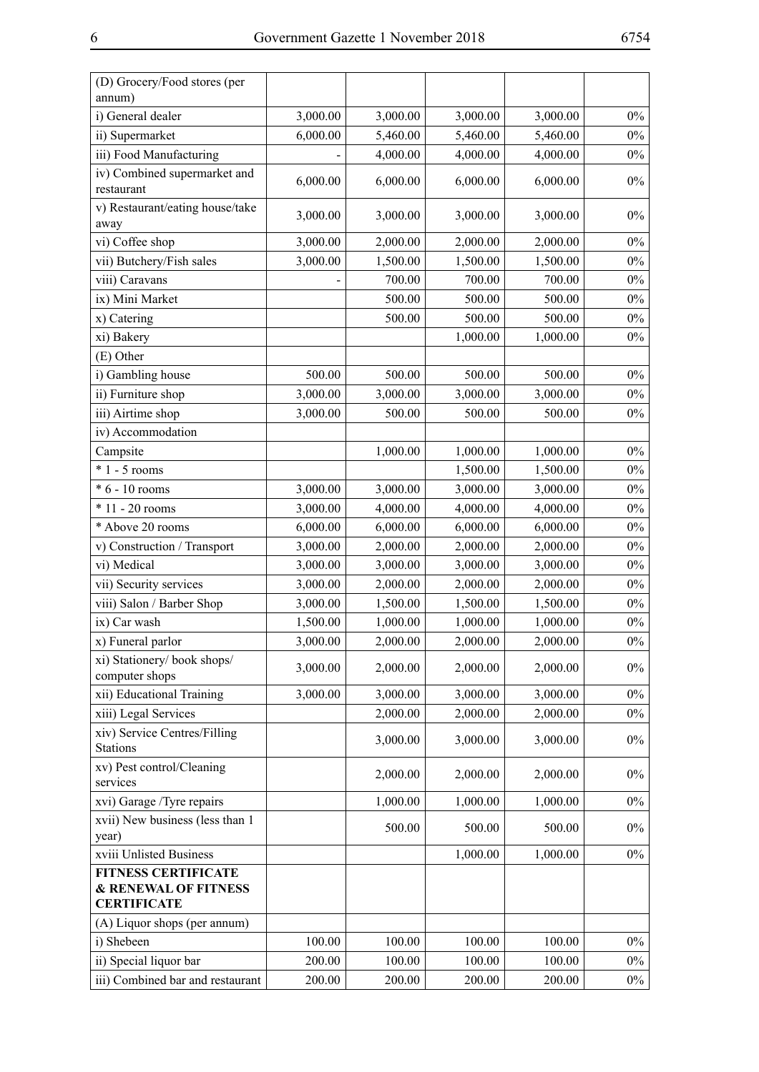| (D) Grocery/Food stores (per<br>annum)                                   |          |          |          |          |       |
|--------------------------------------------------------------------------|----------|----------|----------|----------|-------|
| i) General dealer                                                        | 3,000.00 | 3,000.00 | 3,000.00 | 3,000.00 | $0\%$ |
| ii) Supermarket                                                          | 6,000.00 | 5,460.00 | 5,460.00 | 5,460.00 | $0\%$ |
| iii) Food Manufacturing                                                  |          | 4,000.00 | 4,000.00 | 4,000.00 | $0\%$ |
| iv) Combined supermarket and<br>restaurant                               | 6,000.00 | 6,000.00 | 6,000.00 | 6,000.00 | $0\%$ |
| v) Restaurant/eating house/take<br>away                                  | 3,000.00 | 3,000.00 | 3,000.00 | 3,000.00 | $0\%$ |
| vi) Coffee shop                                                          | 3,000.00 | 2,000.00 | 2,000.00 | 2,000.00 | $0\%$ |
| vii) Butchery/Fish sales                                                 | 3,000.00 | 1,500.00 | 1,500.00 | 1,500.00 | $0\%$ |
| viii) Caravans                                                           |          | 700.00   | 700.00   | 700.00   | $0\%$ |
| ix) Mini Market                                                          |          | 500.00   | 500.00   | 500.00   | $0\%$ |
| x) Catering                                                              |          | 500.00   | 500.00   | 500.00   | $0\%$ |
| xi) Bakery                                                               |          |          | 1,000.00 | 1,000.00 | $0\%$ |
| (E) Other                                                                |          |          |          |          |       |
| i) Gambling house                                                        | 500.00   | 500.00   | 500.00   | 500.00   | $0\%$ |
| ii) Furniture shop                                                       | 3,000.00 | 3,000.00 | 3,000.00 | 3,000.00 | $0\%$ |
| iii) Airtime shop                                                        | 3,000.00 | 500.00   | 500.00   | 500.00   | $0\%$ |
| iv) Accommodation                                                        |          |          |          |          |       |
| Campsite                                                                 |          | 1,000.00 | 1,000.00 | 1,000.00 | $0\%$ |
| $*1 - 5$ rooms                                                           |          |          | 1,500.00 | 1,500.00 | $0\%$ |
| $* 6 - 10$ rooms                                                         | 3,000.00 | 3,000.00 | 3,000.00 | 3,000.00 | $0\%$ |
| $*11 - 20$ rooms                                                         | 3,000.00 | 4,000.00 | 4,000.00 | 4,000.00 | $0\%$ |
| * Above 20 rooms                                                         | 6,000.00 | 6,000.00 | 6,000.00 | 6,000.00 | $0\%$ |
| v) Construction / Transport                                              | 3,000.00 | 2,000.00 | 2,000.00 | 2,000.00 | $0\%$ |
| vi) Medical                                                              | 3,000.00 | 3,000.00 | 3,000.00 | 3,000.00 | $0\%$ |
| vii) Security services                                                   | 3,000.00 | 2,000.00 | 2,000.00 | 2,000.00 | $0\%$ |
| viii) Salon / Barber Shop                                                | 3,000.00 | 1,500.00 | 1,500.00 | 1,500.00 | $0\%$ |
| ix) Car wash                                                             | 1,500.00 | 1,000.00 | 1,000.00 | 1,000.00 | $0\%$ |
| x) Funeral parlor                                                        | 3,000.00 | 2,000.00 | 2,000.00 | 2,000.00 | $0\%$ |
| xi) Stationery/book shops/<br>computer shops                             | 3,000.00 | 2,000.00 | 2,000.00 | 2,000.00 | $0\%$ |
| xii) Educational Training                                                | 3,000.00 | 3,000.00 | 3,000.00 | 3,000.00 | $0\%$ |
| xiii) Legal Services                                                     |          | 2,000.00 | 2,000.00 | 2,000.00 | $0\%$ |
| xiv) Service Centres/Filling<br><b>Stations</b>                          |          | 3,000.00 | 3,000.00 | 3,000.00 | $0\%$ |
| xv) Pest control/Cleaning<br>services                                    |          | 2,000.00 | 2,000.00 | 2,000.00 | $0\%$ |
| xvi) Garage /Tyre repairs                                                |          | 1,000.00 | 1,000.00 | 1,000.00 | $0\%$ |
| xvii) New business (less than 1<br>year)                                 |          | 500.00   | 500.00   | 500.00   | $0\%$ |
| xviii Unlisted Business                                                  |          |          | 1,000.00 | 1,000.00 | $0\%$ |
| <b>FITNESS CERTIFICATE</b><br>& RENEWAL OF FITNESS<br><b>CERTIFICATE</b> |          |          |          |          |       |
| (A) Liquor shops (per annum)                                             |          |          |          |          |       |
| i) Shebeen                                                               | 100.00   | 100.00   | 100.00   | 100.00   | $0\%$ |
| ii) Special liquor bar                                                   | 200.00   | 100.00   | 100.00   | 100.00   | $0\%$ |
| iii) Combined bar and restaurant                                         | 200.00   | 200.00   | 200.00   | 200.00   | $0\%$ |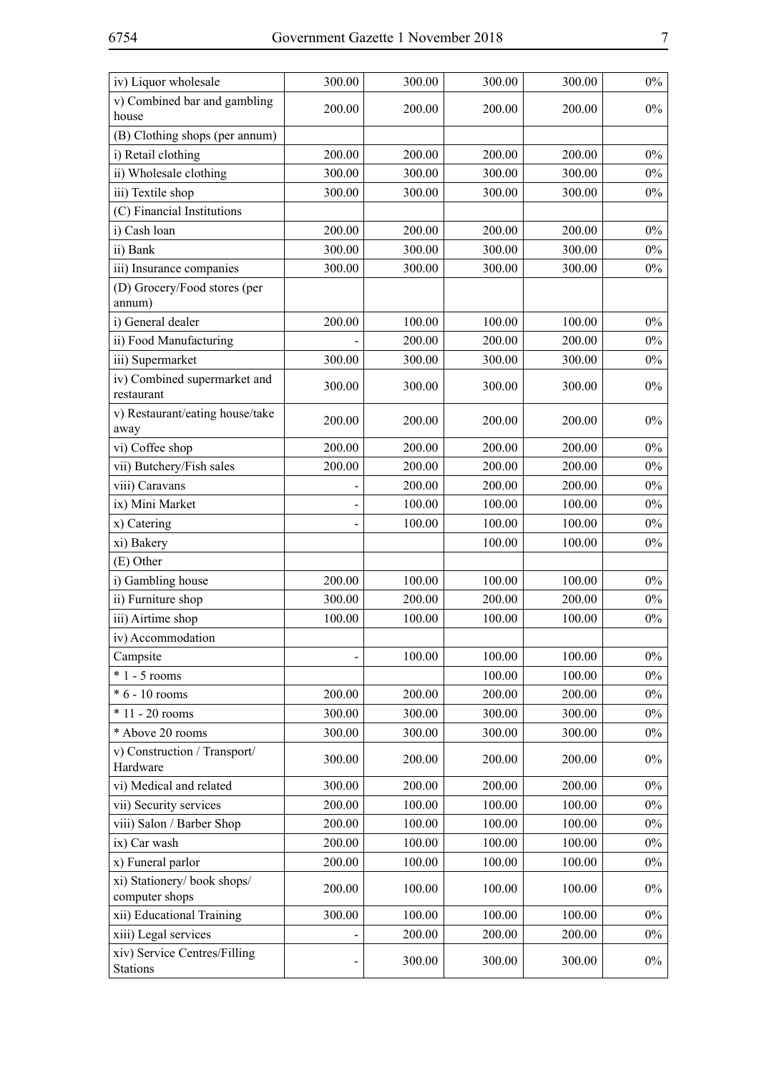| iv) Liquor wholesale                            | 300.00 | 300.00 | 300.00 | 300.00 | $0\%$ |
|-------------------------------------------------|--------|--------|--------|--------|-------|
| v) Combined bar and gambling                    | 200.00 | 200.00 | 200.00 | 200.00 | $0\%$ |
| house                                           |        |        |        |        |       |
| (B) Clothing shops (per annum)                  |        |        |        |        |       |
| i) Retail clothing                              | 200.00 | 200.00 | 200.00 | 200.00 | $0\%$ |
| ii) Wholesale clothing                          | 300.00 | 300.00 | 300.00 | 300.00 | $0\%$ |
| iii) Textile shop                               | 300.00 | 300.00 | 300.00 | 300.00 | $0\%$ |
| (C) Financial Institutions                      |        |        |        |        |       |
| i) Cash loan                                    | 200.00 | 200.00 | 200.00 | 200.00 | $0\%$ |
| ii) Bank                                        | 300.00 | 300.00 | 300.00 | 300.00 | $0\%$ |
| iii) Insurance companies                        | 300.00 | 300.00 | 300.00 | 300.00 | $0\%$ |
| (D) Grocery/Food stores (per<br>annum)          |        |        |        |        |       |
| i) General dealer                               | 200.00 | 100.00 | 100.00 | 100.00 | $0\%$ |
| ii) Food Manufacturing                          |        | 200.00 | 200.00 | 200.00 | $0\%$ |
| iii) Supermarket                                | 300.00 | 300.00 | 300.00 | 300.00 | $0\%$ |
| iv) Combined supermarket and<br>restaurant      | 300.00 | 300.00 | 300.00 | 300.00 | $0\%$ |
| v) Restaurant/eating house/take<br>away         | 200.00 | 200.00 | 200.00 | 200.00 | $0\%$ |
| vi) Coffee shop                                 | 200.00 | 200.00 | 200.00 | 200.00 | $0\%$ |
| vii) Butchery/Fish sales                        | 200.00 | 200.00 | 200.00 | 200.00 | $0\%$ |
| viii) Caravans                                  |        | 200.00 | 200.00 | 200.00 | $0\%$ |
| ix) Mini Market                                 |        | 100.00 | 100.00 | 100.00 | $0\%$ |
| x) Catering                                     |        | 100.00 | 100.00 | 100.00 | $0\%$ |
| xi) Bakery                                      |        |        | 100.00 | 100.00 | $0\%$ |
| (E) Other                                       |        |        |        |        |       |
| i) Gambling house                               | 200.00 | 100.00 | 100.00 | 100.00 | $0\%$ |
| ii) Furniture shop                              | 300.00 | 200.00 | 200.00 | 200.00 | $0\%$ |
| iii) Airtime shop                               | 100.00 | 100.00 | 100.00 | 100.00 | $0\%$ |
| iv) Accommodation                               |        |        |        |        |       |
| Campsite                                        |        | 100.00 | 100.00 | 100.00 | $0\%$ |
| $*1 - 5$ rooms                                  |        |        | 100.00 | 100.00 | $0\%$ |
| * 6 - 10 rooms                                  | 200.00 | 200.00 | 200.00 | 200.00 | $0\%$ |
| * 11 - 20 rooms                                 | 300.00 | 300.00 | 300.00 | 300.00 | $0\%$ |
| * Above 20 rooms                                | 300.00 | 300.00 | 300.00 | 300.00 | $0\%$ |
| v) Construction / Transport/<br>Hardware        | 300.00 | 200.00 | 200.00 | 200.00 | $0\%$ |
| vi) Medical and related                         | 300.00 | 200.00 | 200.00 | 200.00 | $0\%$ |
| vii) Security services                          | 200.00 | 100.00 | 100.00 | 100.00 | $0\%$ |
| viii) Salon / Barber Shop                       | 200.00 | 100.00 | 100.00 | 100.00 | $0\%$ |
| ix) Car wash                                    | 200.00 | 100.00 | 100.00 | 100.00 | $0\%$ |
| x) Funeral parlor                               | 200.00 | 100.00 | 100.00 | 100.00 | $0\%$ |
| xi) Stationery/book shops/<br>computer shops    | 200.00 | 100.00 | 100.00 | 100.00 | $0\%$ |
| xii) Educational Training                       | 300.00 | 100.00 | 100.00 | 100.00 | $0\%$ |
| xiii) Legal services                            |        | 200.00 | 200.00 | 200.00 | $0\%$ |
| xiv) Service Centres/Filling<br><b>Stations</b> |        | 300.00 | 300.00 | 300.00 | $0\%$ |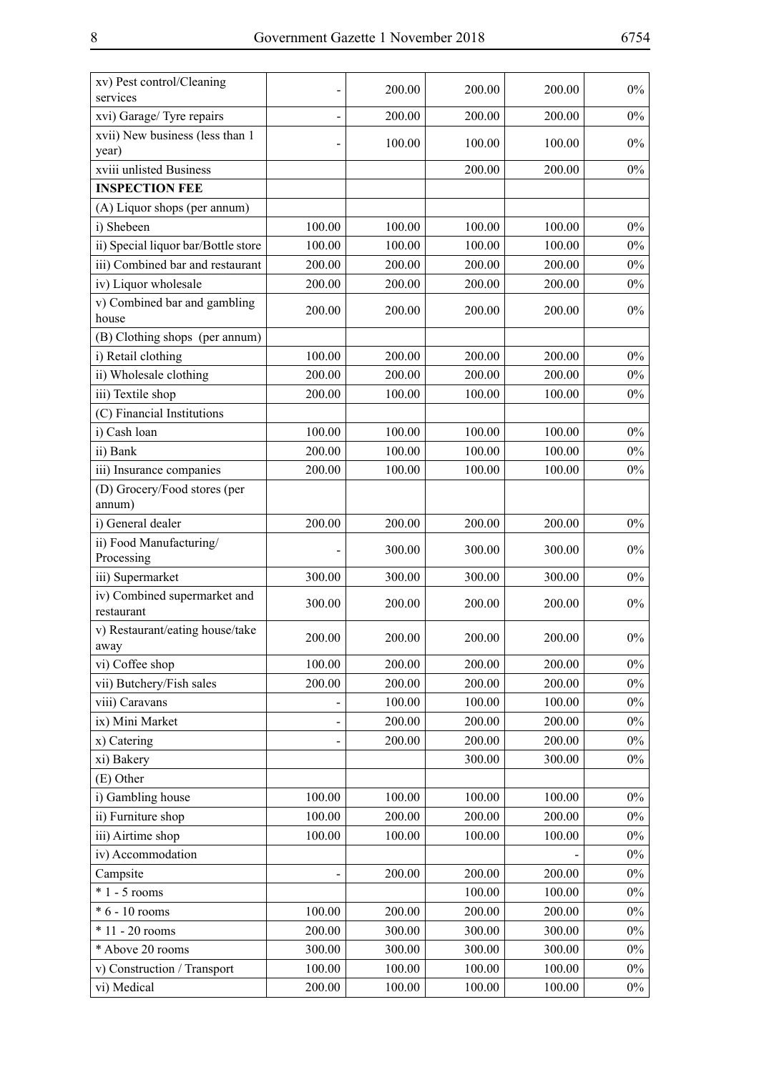| xv) Pest control/Cleaning<br>services      |        | 200.00 | 200.00 | 200.00 | $0\%$ |
|--------------------------------------------|--------|--------|--------|--------|-------|
| xvi) Garage/ Tyre repairs                  |        | 200.00 | 200.00 | 200.00 | $0\%$ |
| xvii) New business (less than 1            |        |        |        |        |       |
| year)                                      |        | 100.00 | 100.00 | 100.00 | $0\%$ |
| xviii unlisted Business                    |        |        | 200.00 | 200.00 | $0\%$ |
| <b>INSPECTION FEE</b>                      |        |        |        |        |       |
| (A) Liquor shops (per annum)               |        |        |        |        |       |
| i) Shebeen                                 | 100.00 | 100.00 | 100.00 | 100.00 | $0\%$ |
| ii) Special liquor bar/Bottle store        | 100.00 | 100.00 | 100.00 | 100.00 | $0\%$ |
| iii) Combined bar and restaurant           | 200.00 | 200.00 | 200.00 | 200.00 | $0\%$ |
| iv) Liquor wholesale                       | 200.00 | 200.00 | 200.00 | 200.00 | $0\%$ |
| v) Combined bar and gambling               | 200.00 | 200.00 | 200.00 | 200.00 | $0\%$ |
| house                                      |        |        |        |        |       |
| (B) Clothing shops (per annum)             |        |        |        |        |       |
| i) Retail clothing                         | 100.00 | 200.00 | 200.00 | 200.00 | $0\%$ |
| ii) Wholesale clothing                     | 200.00 | 200.00 | 200.00 | 200.00 | $0\%$ |
| iii) Textile shop                          | 200.00 | 100.00 | 100.00 | 100.00 | $0\%$ |
| (C) Financial Institutions                 |        |        |        |        |       |
| i) Cash loan                               | 100.00 | 100.00 | 100.00 | 100.00 | $0\%$ |
| ii) Bank                                   | 200.00 | 100.00 | 100.00 | 100.00 | $0\%$ |
| iii) Insurance companies                   | 200.00 | 100.00 | 100.00 | 100.00 | $0\%$ |
| (D) Grocery/Food stores (per<br>annum)     |        |        |        |        |       |
| i) General dealer                          | 200.00 | 200.00 | 200.00 | 200.00 | $0\%$ |
| ii) Food Manufacturing/<br>Processing      |        | 300.00 | 300.00 | 300.00 | $0\%$ |
| iii) Supermarket                           | 300.00 | 300.00 | 300.00 | 300.00 | $0\%$ |
| iv) Combined supermarket and<br>restaurant | 300.00 | 200.00 | 200.00 | 200.00 | $0\%$ |
| v) Restaurant/eating house/take<br>away    | 200.00 | 200.00 | 200.00 | 200.00 | $0\%$ |
| vi) Coffee shop                            | 100.00 | 200.00 | 200.00 | 200.00 | $0\%$ |
| vii) Butchery/Fish sales                   | 200.00 | 200.00 | 200.00 | 200.00 | $0\%$ |
| viii) Caravans                             |        | 100.00 | 100.00 | 100.00 | $0\%$ |
| ix) Mini Market                            |        | 200.00 | 200.00 | 200.00 | $0\%$ |
| x) Catering                                |        | 200.00 | 200.00 | 200.00 | $0\%$ |
| xi) Bakery                                 |        |        | 300.00 | 300.00 | $0\%$ |
| (E) Other                                  |        |        |        |        |       |
| i) Gambling house                          | 100.00 | 100.00 | 100.00 | 100.00 | $0\%$ |
| ii) Furniture shop                         | 100.00 | 200.00 | 200.00 | 200.00 | $0\%$ |
| iii) Airtime shop                          | 100.00 | 100.00 | 100.00 | 100.00 | $0\%$ |
| iv) Accommodation                          |        |        |        |        | $0\%$ |
| Campsite                                   |        | 200.00 | 200.00 | 200.00 | $0\%$ |
| $*1 - 5$ rooms                             |        |        | 100.00 | 100.00 | $0\%$ |
| * 6 - 10 rooms                             | 100.00 | 200.00 | 200.00 | 200.00 | $0\%$ |
| * 11 - 20 rooms                            | 200.00 | 300.00 | 300.00 | 300.00 | $0\%$ |
| * Above 20 rooms                           | 300.00 | 300.00 | 300.00 | 300.00 | $0\%$ |
| v) Construction / Transport                | 100.00 | 100.00 | 100.00 | 100.00 | $0\%$ |
| vi) Medical                                | 200.00 | 100.00 | 100.00 | 100.00 | $0\%$ |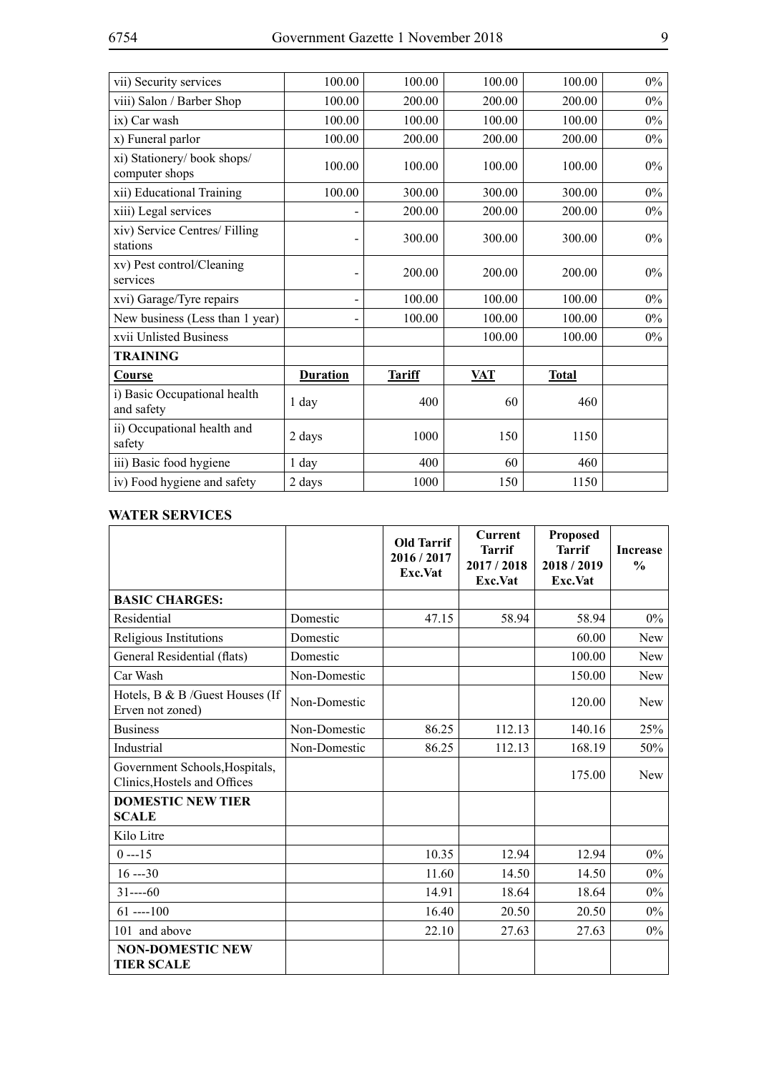| 100.00                   | 100.00        | 100.00     | 100.00       | $0\%$ |
|--------------------------|---------------|------------|--------------|-------|
| 100.00                   | 200.00        | 200.00     | 200.00       | $0\%$ |
| 100.00                   | 100.00        | 100.00     | 100.00       | $0\%$ |
| 100.00                   | 200.00        | 200.00     | 200.00       | $0\%$ |
| 100.00                   | 100.00        | 100.00     | 100.00       | $0\%$ |
| 100.00                   | 300.00        | 300.00     | 300.00       | $0\%$ |
|                          | 200.00        | 200.00     | 200.00       | $0\%$ |
| $\overline{\phantom{0}}$ | 300.00        | 300.00     | 300.00       | $0\%$ |
| $\overline{\phantom{0}}$ | 200.00        | 200.00     | 200.00       | $0\%$ |
| $\overline{a}$           | 100.00        | 100.00     | 100.00       | $0\%$ |
| -                        | 100.00        | 100.00     | 100.00       | $0\%$ |
|                          |               | 100.00     | 100.00       | $0\%$ |
|                          |               |            |              |       |
| <b>Duration</b>          | <b>Tariff</b> | <b>VAT</b> | <b>Total</b> |       |
| $1$ day                  | 400           | 60         | 460          |       |
| 2 days                   | 1000          | 150        | 1150         |       |
| 1 day                    | 400           | 60         | 460          |       |
| 2 days                   | 1000          | 150        | 1150         |       |
|                          |               |            |              |       |

### **WATER SERVICES**

|                                                                |              | <b>Old Tarrif</b><br>2016 / 2017<br>Exc.Vat | Current<br><b>Tarrif</b><br>2017/2018<br>Exc.Vat | <b>Proposed</b><br><b>Tarrif</b><br>2018/2019<br>Exc.Vat | <b>Increase</b><br>$\frac{0}{0}$ |
|----------------------------------------------------------------|--------------|---------------------------------------------|--------------------------------------------------|----------------------------------------------------------|----------------------------------|
| <b>BASIC CHARGES:</b>                                          |              |                                             |                                                  |                                                          |                                  |
| Residential                                                    | Domestic     | 47.15                                       | 58.94                                            | 58.94                                                    | $0\%$                            |
| Religious Institutions                                         | Domestic     |                                             |                                                  | 60.00                                                    | <b>New</b>                       |
| General Residential (flats)                                    | Domestic     |                                             |                                                  | 100.00                                                   | New                              |
| Car Wash                                                       | Non-Domestic |                                             |                                                  | 150.00                                                   | New                              |
| Hotels, B & B /Guest Houses (If<br>Erven not zoned)            | Non-Domestic |                                             |                                                  | 120.00                                                   | <b>New</b>                       |
| <b>Business</b>                                                | Non-Domestic | 86.25                                       | 112.13                                           | 140.16                                                   | 25%                              |
| Industrial                                                     | Non-Domestic | 86.25                                       | 112.13                                           | 168.19                                                   | 50%                              |
| Government Schools, Hospitals,<br>Clinics, Hostels and Offices |              |                                             |                                                  | 175.00                                                   | <b>New</b>                       |
| <b>DOMESTIC NEW TIER</b><br><b>SCALE</b>                       |              |                                             |                                                  |                                                          |                                  |
| Kilo Litre                                                     |              |                                             |                                                  |                                                          |                                  |
| $0 - 15$                                                       |              | 10.35                                       | 12.94                                            | 12.94                                                    | $0\%$                            |
| $16 - 30$                                                      |              | 11.60                                       | 14.50                                            | 14.50                                                    | $0\%$                            |
| $31---60$                                                      |              | 14.91                                       | 18.64                                            | 18.64                                                    | $0\%$                            |
| $61$ ---100                                                    |              | 16.40                                       | 20.50                                            | 20.50                                                    | $0\%$                            |
| 101 and above                                                  |              | 22.10                                       | 27.63                                            | 27.63                                                    | $0\%$                            |
| <b>NON-DOMESTIC NEW</b><br><b>TIER SCALE</b>                   |              |                                             |                                                  |                                                          |                                  |